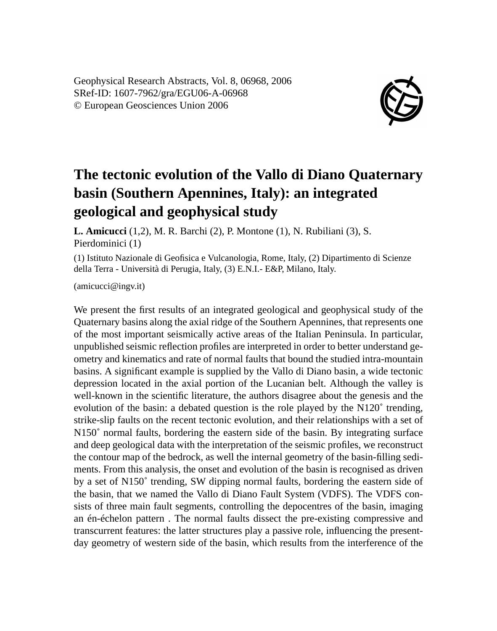Geophysical Research Abstracts, Vol. 8, 06968, 2006 SRef-ID: 1607-7962/gra/EGU06-A-06968 © European Geosciences Union 2006



## **The tectonic evolution of the Vallo di Diano Quaternary basin (Southern Apennines, Italy): an integrated geological and geophysical study**

**L. Amicucci** (1,2), M. R. Barchi (2), P. Montone (1), N. Rubiliani (3), S. Pierdominici (1)

(1) Istituto Nazionale di Geofisica e Vulcanologia, Rome, Italy, (2) Dipartimento di Scienze della Terra - Università di Perugia, Italy, (3) E.N.I.- E&P, Milano, Italy.

(amicucci@ingv.it)

We present the first results of an integrated geological and geophysical study of the Quaternary basins along the axial ridge of the Southern Apennines, that represents one of the most important seismically active areas of the Italian Peninsula. In particular, unpublished seismic reflection profiles are interpreted in order to better understand geometry and kinematics and rate of normal faults that bound the studied intra-mountain basins. A significant example is supplied by the Vallo di Diano basin, a wide tectonic depression located in the axial portion of the Lucanian belt. Although the valley is well-known in the scientific literature, the authors disagree about the genesis and the evolution of the basin: a debated question is the role played by the N120˚ trending, strike-slip faults on the recent tectonic evolution, and their relationships with a set of N150˚ normal faults, bordering the eastern side of the basin. By integrating surface and deep geological data with the interpretation of the seismic profiles, we reconstruct the contour map of the bedrock, as well the internal geometry of the basin-filling sediments. From this analysis, the onset and evolution of the basin is recognised as driven by a set of N150˚ trending, SW dipping normal faults, bordering the eastern side of the basin, that we named the Vallo di Diano Fault System (VDFS). The VDFS consists of three main fault segments, controlling the depocentres of the basin, imaging an én-échelon pattern . The normal faults dissect the pre-existing compressive and transcurrent features: the latter structures play a passive role, influencing the presentday geometry of western side of the basin, which results from the interference of the